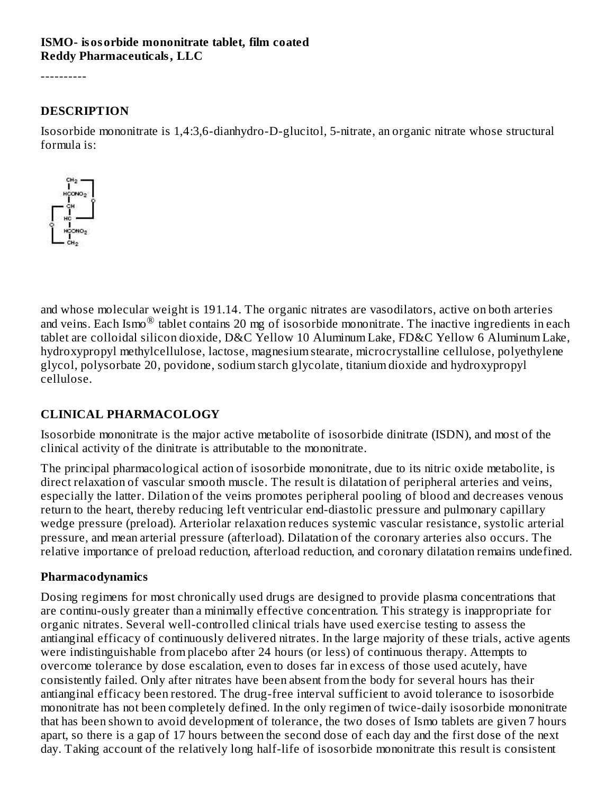#### **ISMO- isosorbide mononitrate tablet, film coated Reddy Pharmaceuticals, LLC**

----------

#### **DESCRIPTION**

Isosorbide mononitrate is 1,4:3,6-dianhydro-D-glucitol, 5-nitrate, an organic nitrate whose structural formula is:



and whose molecular weight is 191.14. The organic nitrates are vasodilators, active on both arteries and veins. Each Ismo $^{\circledR}$  tablet contains 20 mg of isosorbide mononitrate. The inactive ingredients in each tablet are colloidal silicon dioxide, D&C Yellow 10 Aluminum Lake, FD&C Yellow 6 Aluminum Lake, hydroxypropyl methylcellulose, lactose, magnesium stearate, microcrystalline cellulose, polyethylene glycol, polysorbate 20, povidone, sodium starch glycolate, titanium dioxide and hydroxypropyl cellulose.

#### **CLINICAL PHARMACOLOGY**

Isosorbide mononitrate is the major active metabolite of isosorbide dinitrate (ISDN), and most of the clinical activity of the dinitrate is attributable to the mononitrate.

The principal pharmacological action of isosorbide mononitrate, due to its nitric oxide metabolite, is direct relaxation of vascular smooth muscle. The result is dilatation of peripheral arteries and veins, especially the latter. Dilation of the veins promotes peripheral pooling of blood and decreases venous return to the heart, thereby reducing left ventricular end-diastolic pressure and pulmonary capillary wedge pressure (preload). Arteriolar relaxation reduces systemic vascular resistance, systolic arterial pressure, and mean arterial pressure (afterload). Dilatation of the coronary arteries also occurs. The relative importance of preload reduction, afterload reduction, and coronary dilatation remains undefined.

#### **Pharmacodynamics**

Dosing regimens for most chronically used drugs are designed to provide plasma concentrations that are continu-ously greater than a minimally effective concentration. This strategy is inappropriate for organic nitrates. Several well-controlled clinical trials have used exercise testing to assess the antianginal efficacy of continuously delivered nitrates. In the large majority of these trials, active agents were indistinguishable from placebo after 24 hours (or less) of continuous therapy. Attempts to overcome tolerance by dose escalation, even to doses far in excess of those used acutely, have consistently failed. Only after nitrates have been absent from the body for several hours has their antianginal efficacy been restored. The drug-free interval sufficient to avoid tolerance to isosorbide mononitrate has not been completely defined. In the only regimen of twice-daily isosorbide mononitrate that has been shown to avoid development of tolerance, the two doses of Ismo tablets are given 7 hours apart, so there is a gap of 17 hours between the second dose of each day and the first dose of the next day. Taking account of the relatively long half-life of isosorbide mononitrate this result is consistent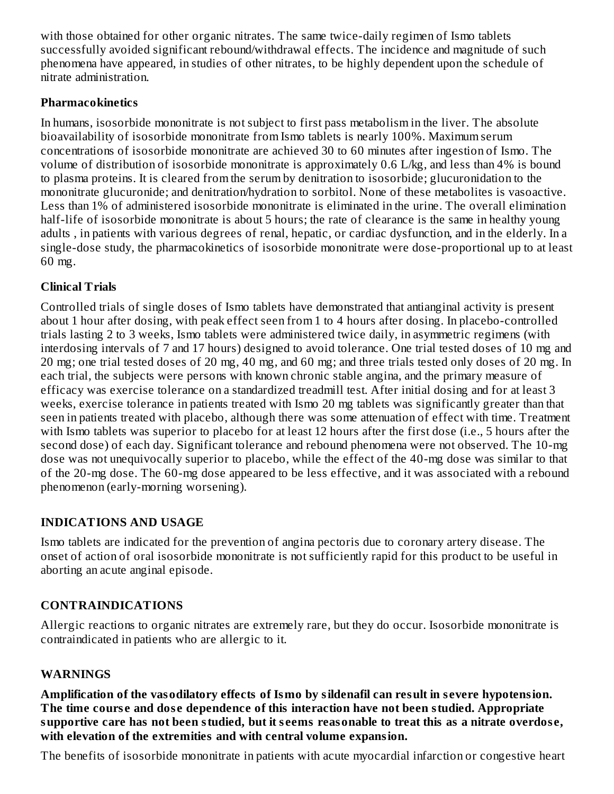with those obtained for other organic nitrates. The same twice-daily regimen of Ismo tablets successfully avoided significant rebound/withdrawal effects. The incidence and magnitude of such phenomena have appeared, in studies of other nitrates, to be highly dependent upon the schedule of nitrate administration.

### **Pharmacokinetics**

In humans, isosorbide mononitrate is not subject to first pass metabolism in the liver. The absolute bioavailability of isosorbide mononitrate from Ismo tablets is nearly 100%. Maximum serum concentrations of isosorbide mononitrate are achieved 30 to 60 minutes after ingestion of Ismo. The volume of distribution of isosorbide mononitrate is approximately 0.6 L/kg, and less than 4% is bound to plasma proteins. It is cleared from the serum by denitration to isosorbide; glucuronidation to the mononitrate glucuronide; and denitration/hydration to sorbitol. None of these metabolites is vasoactive. Less than 1% of administered isosorbide mononitrate is eliminated in the urine. The overall elimination half-life of isosorbide mononitrate is about 5 hours; the rate of clearance is the same in healthy young adults , in patients with various degrees of renal, hepatic, or cardiac dysfunction, and in the elderly. In a single-dose study, the pharmacokinetics of isosorbide mononitrate were dose-proportional up to at least 60 mg.

## **Clinical Trials**

Controlled trials of single doses of Ismo tablets have demonstrated that antianginal activity is present about 1 hour after dosing, with peak effect seen from 1 to 4 hours after dosing. In placebo-controlled trials lasting 2 to 3 weeks, Ismo tablets were administered twice daily, in asymmetric regimens (with interdosing intervals of 7 and 17 hours) designed to avoid tolerance. One trial tested doses of 10 mg and 20 mg; one trial tested doses of 20 mg, 40 mg, and 60 mg; and three trials tested only doses of 20 mg. In each trial, the subjects were persons with known chronic stable angina, and the primary measure of efficacy was exercise tolerance on a standardized treadmill test. After initial dosing and for at least 3 weeks, exercise tolerance in patients treated with Ismo 20 mg tablets was significantly greater than that seen in patients treated with placebo, although there was some attenuation of effect with time. Treatment with Ismo tablets was superior to placebo for at least 12 hours after the first dose (i.e., 5 hours after the second dose) of each day. Significant tolerance and rebound phenomena were not observed. The 10-mg dose was not unequivocally superior to placebo, while the effect of the 40-mg dose was similar to that of the 20-mg dose. The 60-mg dose appeared to be less effective, and it was associated with a rebound phenomenon (early-morning worsening).

## **INDICATIONS AND USAGE**

Ismo tablets are indicated for the prevention of angina pectoris due to coronary artery disease. The onset of action of oral isosorbide mononitrate is not sufficiently rapid for this product to be useful in aborting an acute anginal episode.

## **CONTRAINDICATIONS**

Allergic reactions to organic nitrates are extremely rare, but they do occur. Isosorbide mononitrate is contraindicated in patients who are allergic to it.

## **WARNINGS**

**Amplification of the vasodilatory effects of Ismo by sildenafil can result in s evere hypotension. The time cours e and dos e dependence of this interaction have not been studied. Appropriate** supportive care has not been studied, but it seems reasonable to treat this as a nitrate overdose, **with elevation of the extremities and with central volume expansion.**

The benefits of isosorbide mononitrate in patients with acute myocardial infarction or congestive heart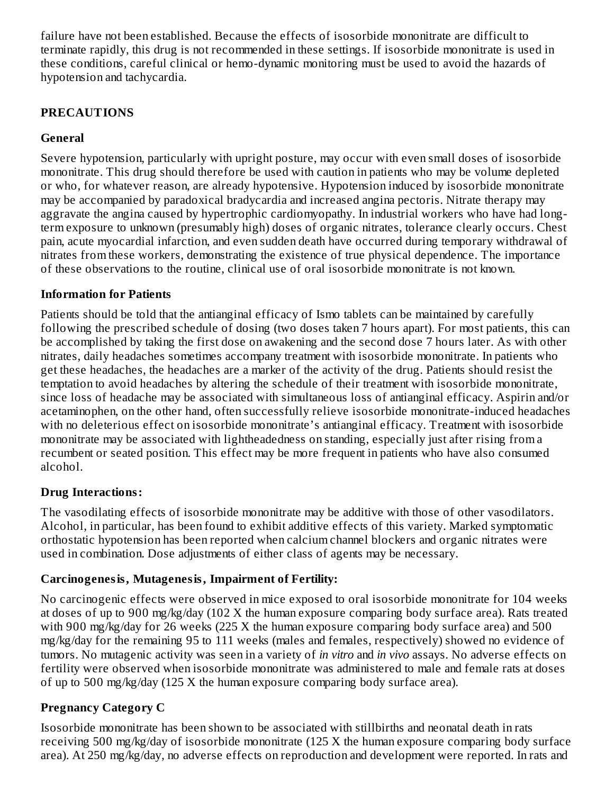failure have not been established. Because the effects of isosorbide mononitrate are difficult to terminate rapidly, this drug is not recommended in these settings. If isosorbide mononitrate is used in these conditions, careful clinical or hemo-dynamic monitoring must be used to avoid the hazards of hypotension and tachycardia.

### **PRECAUTIONS**

### **General**

Severe hypotension, particularly with upright posture, may occur with even small doses of isosorbide mononitrate. This drug should therefore be used with caution in patients who may be volume depleted or who, for whatever reason, are already hypotensive. Hypotension induced by isosorbide mononitrate may be accompanied by paradoxical bradycardia and increased angina pectoris. Nitrate therapy may aggravate the angina caused by hypertrophic cardiomyopathy. In industrial workers who have had longterm exposure to unknown (presumably high) doses of organic nitrates, tolerance clearly occurs. Chest pain, acute myocardial infarction, and even sudden death have occurred during temporary withdrawal of nitrates from these workers, demonstrating the existence of true physical dependence. The importance of these observations to the routine, clinical use of oral isosorbide mononitrate is not known.

#### **Information for Patients**

Patients should be told that the antianginal efficacy of Ismo tablets can be maintained by carefully following the prescribed schedule of dosing (two doses taken 7 hours apart). For most patients, this can be accomplished by taking the first dose on awakening and the second dose 7 hours later. As with other nitrates, daily headaches sometimes accompany treatment with isosorbide mononitrate. In patients who get these headaches, the headaches are a marker of the activity of the drug. Patients should resist the temptation to avoid headaches by altering the schedule of their treatment with isosorbide mononitrate, since loss of headache may be associated with simultaneous loss of antianginal efficacy. Aspirin and/or acetaminophen, on the other hand, often successfully relieve isosorbide mononitrate-induced headaches with no deleterious effect on isosorbide mononitrate's antianginal efficacy. Treatment with isosorbide mononitrate may be associated with lightheadedness on standing, especially just after rising from a recumbent or seated position. This effect may be more frequent in patients who have also consumed alcohol.

#### **Drug Interactions:**

The vasodilating effects of isosorbide mononitrate may be additive with those of other vasodilators. Alcohol, in particular, has been found to exhibit additive effects of this variety. Marked symptomatic orthostatic hypotension has been reported when calcium channel blockers and organic nitrates were used in combination. Dose adjustments of either class of agents may be necessary.

#### **Carcinogenesis, Mutagenesis, Impairment of Fertility:**

No carcinogenic effects were observed in mice exposed to oral isosorbide mononitrate for 104 weeks at doses of up to 900 mg/kg/day (102 X the human exposure comparing body surface area). Rats treated with 900 mg/kg/day for 26 weeks (225 X the human exposure comparing body surface area) and 500 mg/kg/day for the remaining 95 to 111 weeks (males and females, respectively) showed no evidence of tumors. No mutagenic activity was seen in a variety of *in vitro* and *in vivo* assays. No adverse effects on fertility were observed when isosorbide mononitrate was administered to male and female rats at doses of up to 500 mg/kg/day (125 X the human exposure comparing body surface area).

## **Pregnancy Category C**

Isosorbide mononitrate has been shown to be associated with stillbirths and neonatal death in rats receiving 500 mg/kg/day of isosorbide mononitrate (125 X the human exposure comparing body surface area). At 250 mg/kg/day, no adverse effects on reproduction and development were reported. In rats and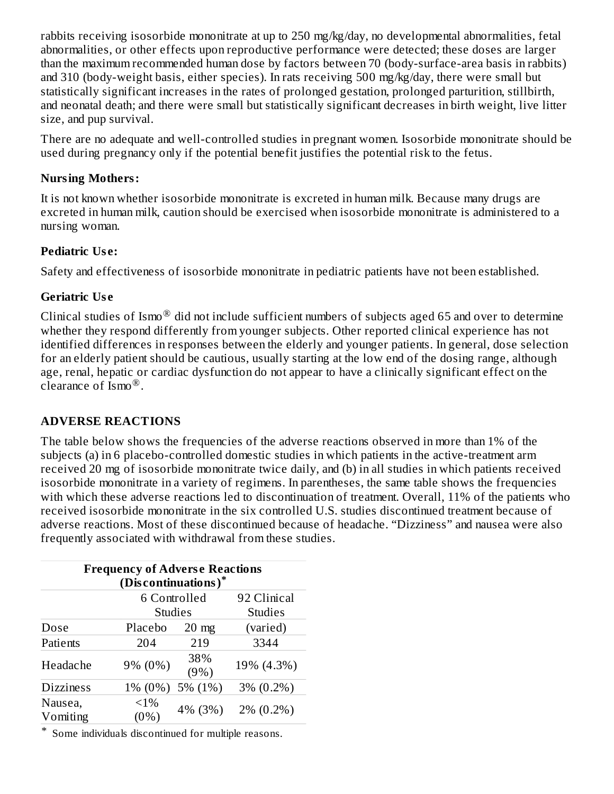rabbits receiving isosorbide mononitrate at up to 250 mg/kg/day, no developmental abnormalities, fetal abnormalities, or other effects upon reproductive performance were detected; these doses are larger than the maximum recommended human dose by factors between 70 (body-surface-area basis in rabbits) and 310 (body-weight basis, either species). In rats receiving 500 mg/kg/day, there were small but statistically significant increases in the rates of prolonged gestation, prolonged parturition, stillbirth, and neonatal death; and there were small but statistically significant decreases in birth weight, live litter size, and pup survival.

There are no adequate and well-controlled studies in pregnant women. Isosorbide mononitrate should be used during pregnancy only if the potential benefit justifies the potential risk to the fetus.

## **Nursing Mothers:**

It is not known whether isosorbide mononitrate is excreted in human milk. Because many drugs are excreted in human milk, caution should be exercised when isosorbide mononitrate is administered to a nursing woman.

## **Pediatric Us e:**

Safety and effectiveness of isosorbide mononitrate in pediatric patients have not been established.

### **Geriatric Us e**

Clinical studies of Ismo $^{\circledR}$  did not include sufficient numbers of subjects aged 65 and over to determine whether they respond differently from younger subjects. Other reported clinical experience has not identified differences in responses between the elderly and younger patients. In general, dose selection for an elderly patient should be cautious, usually starting at the low end of the dosing range, although age, renal, hepatic or cardiac dysfunction do not appear to have a clinically significant effect on the clearance of  $\text{Ismo}^{\circledR}$ .

## **ADVERSE REACTIONS**

The table below shows the frequencies of the adverse reactions observed in more than 1% of the subjects (a) in 6 placebo-controlled domestic studies in which patients in the active-treatment arm received 20 mg of isosorbide mononitrate twice daily, and (b) in all studies in which patients received isosorbide mononitrate in a variety of regimens. In parentheses, the same table shows the frequencies with which these adverse reactions led to discontinuation of treatment. Overall, 11% of the patients who received isosorbide mononitrate in the six controlled U.S. studies discontinued treatment because of adverse reactions. Most of these discontinued because of headache. "Dizziness" and nausea were also frequently associated with withdrawal from these studies.

| <b>Frequency of Adverse Reactions</b><br>(Discontinuations)* |                |                 |                |  |  |  |  |  |  |
|--------------------------------------------------------------|----------------|-----------------|----------------|--|--|--|--|--|--|
|                                                              |                | 6 Controlled    | 92 Clinical    |  |  |  |  |  |  |
|                                                              | <b>Studies</b> |                 | <b>Studies</b> |  |  |  |  |  |  |
| Dose                                                         | Placebo        | $20 \text{ mg}$ | (varied)       |  |  |  |  |  |  |
| Patients                                                     | 204            | 219             | 3344           |  |  |  |  |  |  |
| Headache                                                     | 9% (0%)        | 38%<br>(9%)     | 19% (4.3%)     |  |  |  |  |  |  |
| <b>Dizziness</b>                                             | 1% (0%)        | 5% (1%)         | $3\% (0.2\%)$  |  |  |  |  |  |  |
| Nausea,<br>Vomiting                                          | $<1\%$<br>(0%) | 4% (3%)         | $2\% (0.2\%)$  |  |  |  |  |  |  |

\* Some individuals discontinued for multiple reasons.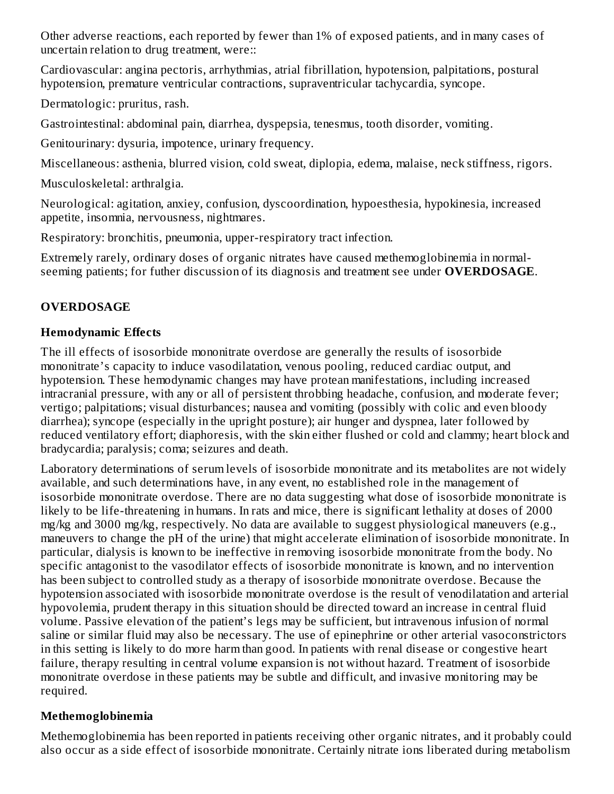Other adverse reactions, each reported by fewer than 1% of exposed patients, and in many cases of uncertain relation to drug treatment, were::

Cardiovascular: angina pectoris, arrhythmias, atrial fibrillation, hypotension, palpitations, postural hypotension, premature ventricular contractions, supraventricular tachycardia, syncope.

Dermatologic: pruritus, rash.

Gastrointestinal: abdominal pain, diarrhea, dyspepsia, tenesmus, tooth disorder, vomiting.

Genitourinary: dysuria, impotence, urinary frequency.

Miscellaneous: asthenia, blurred vision, cold sweat, diplopia, edema, malaise, neck stiffness, rigors.

Musculoskeletal: arthralgia.

Neurological: agitation, anxiey, confusion, dyscoordination, hypoesthesia, hypokinesia, increased appetite, insomnia, nervousness, nightmares.

Respiratory: bronchitis, pneumonia, upper-respiratory tract infection.

Extremely rarely, ordinary doses of organic nitrates have caused methemoglobinemia in normalseeming patients; for futher discussion of its diagnosis and treatment see under **OVERDOSAGE**.

# **OVERDOSAGE**

## **Hemodynamic Effects**

The ill effects of isosorbide mononitrate overdose are generally the results of isosorbide mononitrate's capacity to induce vasodilatation, venous pooling, reduced cardiac output, and hypotension. These hemodynamic changes may have protean manifestations, including increased intracranial pressure, with any or all of persistent throbbing headache, confusion, and moderate fever; vertigo; palpitations; visual disturbances; nausea and vomiting (possibly with colic and even bloody diarrhea); syncope (especially in the upright posture); air hunger and dyspnea, later followed by reduced ventilatory effort; diaphoresis, with the skin either flushed or cold and clammy; heart block and bradycardia; paralysis; coma; seizures and death.

Laboratory determinations of serum levels of isosorbide mononitrate and its metabolites are not widely available, and such determinations have, in any event, no established role in the management of isosorbide mononitrate overdose. There are no data suggesting what dose of isosorbide mononitrate is likely to be life-threatening in humans. In rats and mice, there is significant lethality at doses of 2000 mg/kg and 3000 mg/kg, respectively. No data are available to suggest physiological maneuvers (e.g., maneuvers to change the pH of the urine) that might accelerate elimination of isosorbide mononitrate. In particular, dialysis is known to be ineffective in removing isosorbide mononitrate from the body. No specific antagonist to the vasodilator effects of isosorbide mononitrate is known, and no intervention has been subject to controlled study as a therapy of isosorbide mononitrate overdose. Because the hypotension associated with isosorbide mononitrate overdose is the result of venodilatation and arterial hypovolemia, prudent therapy in this situation should be directed toward an increase in central fluid volume. Passive elevation of the patient's legs may be sufficient, but intravenous infusion of normal saline or similar fluid may also be necessary. The use of epinephrine or other arterial vasoconstrictors in this setting is likely to do more harm than good. In patients with renal disease or congestive heart failure, therapy resulting in central volume expansion is not without hazard. Treatment of isosorbide mononitrate overdose in these patients may be subtle and difficult, and invasive monitoring may be required.

## **Methemoglobinemia**

Methemoglobinemia has been reported in patients receiving other organic nitrates, and it probably could also occur as a side effect of isosorbide mononitrate. Certainly nitrate ions liberated during metabolism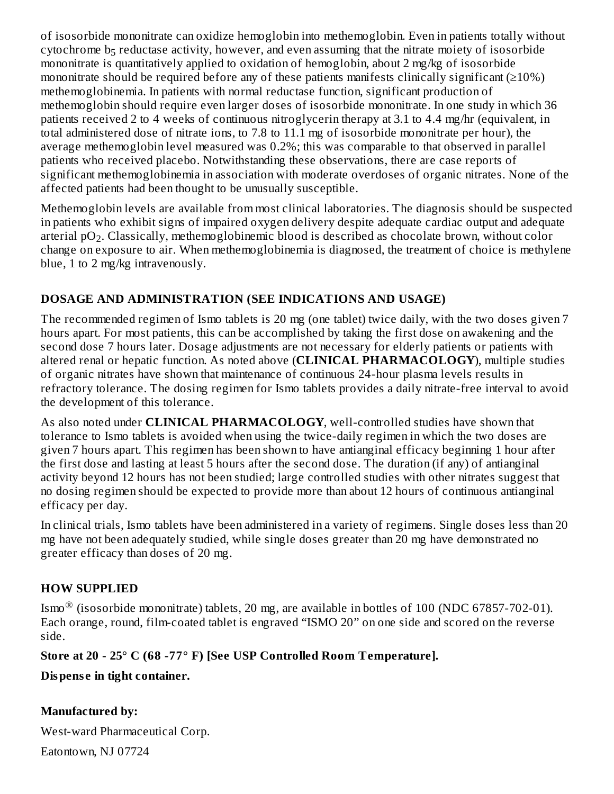of isosorbide mononitrate can oxidize hemoglobin into methemoglobin. Even in patients totally without cytochrome  $b_5$  reductase activity, however, and even assuming that the nitrate moiety of isosorbide mononitrate is quantitatively applied to oxidation of hemoglobin, about 2 mg/kg of isosorbide mononitrate should be required before any of these patients manifests clinically significant  $(≥10%)$ methemoglobinemia. In patients with normal reductase function, significant production of methemoglobin should require even larger doses of isosorbide mononitrate. In one study in which 36 patients received 2 to 4 weeks of continuous nitroglycerin therapy at 3.1 to 4.4 mg/hr (equivalent, in total administered dose of nitrate ions, to 7.8 to 11.1 mg of isosorbide mononitrate per hour), the average methemoglobin level measured was 0.2%; this was comparable to that observed in parallel patients who received placebo. Notwithstanding these observations, there are case reports of significant methemoglobinemia in association with moderate overdoses of organic nitrates. None of the affected patients had been thought to be unusually susceptible.

Methemoglobin levels are available from most clinical laboratories. The diagnosis should be suspected in patients who exhibit signs of impaired oxygen delivery despite adequate cardiac output and adequate arterial pO $_2$ . Classically, methemoglobinemic blood is described as chocolate brown, without color change on exposure to air. When methemoglobinemia is diagnosed, the treatment of choice is methylene blue, 1 to 2 mg/kg intravenously.

## **DOSAGE AND ADMINISTRATION (SEE INDICATIONS AND USAGE)**

The recommended regimen of Ismo tablets is 20 mg (one tablet) twice daily, with the two doses given 7 hours apart. For most patients, this can be accomplished by taking the first dose on awakening and the second dose 7 hours later. Dosage adjustments are not necessary for elderly patients or patients with altered renal or hepatic function. As noted above (**CLINICAL PHARMACOLOGY**), multiple studies of organic nitrates have shown that maintenance of continuous 24-hour plasma levels results in refractory tolerance. The dosing regimen for Ismo tablets provides a daily nitrate-free interval to avoid the development of this tolerance.

As also noted under **CLINICAL PHARMACOLOGY**, well-controlled studies have shown that tolerance to Ismo tablets is avoided when using the twice-daily regimen in which the two doses are given 7 hours apart. This regimen has been shown to have antianginal efficacy beginning 1 hour after the first dose and lasting at least 5 hours after the second dose. The duration (if any) of antianginal activity beyond 12 hours has not been studied; large controlled studies with other nitrates suggest that no dosing regimen should be expected to provide more than about 12 hours of continuous antianginal efficacy per day.

In clinical trials, Ismo tablets have been administered in a variety of regimens. Single doses less than 20 mg have not been adequately studied, while single doses greater than 20 mg have demonstrated no greater efficacy than doses of 20 mg.

## **HOW SUPPLIED**

Ismo $^\circledR$  (isosorbide mononitrate) tablets, 20 mg, are available in bottles of 100 (NDC 67857-702-01). Each orange, round, film-coated tablet is engraved "ISMO 20" on one side and scored on the reverse side.

**Store at 20 - 25° C (68 -77° F) [See USP Controlled Room Temperature].**

**Dispens e in tight container.**

## **Manufactured by:**

West-ward Pharmaceutical Corp.

Eatontown, NJ 07724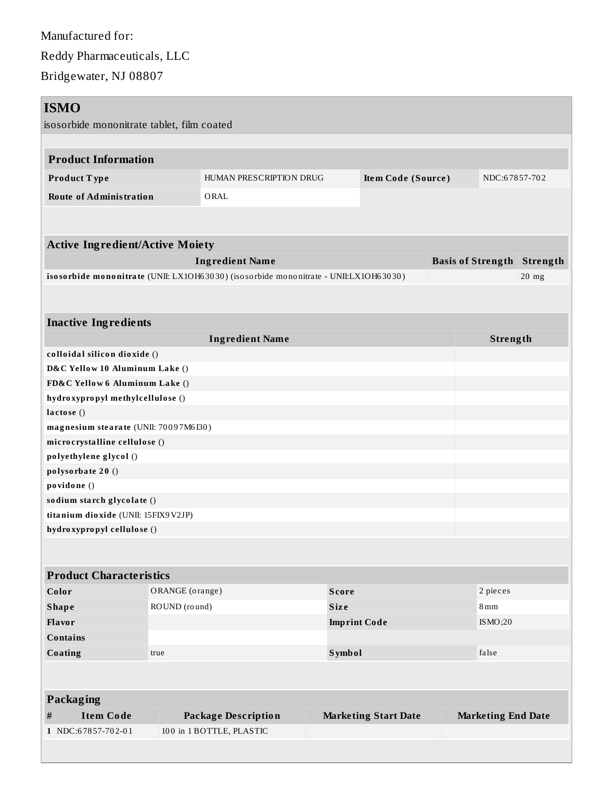Manufactured for: Reddy Pharmaceuticals, LLC Bridgewater, NJ 08807

| <b>ISMO</b>                                                                          |                                 |                                               |                     |                             |          |                           |                                   |  |  |  |
|--------------------------------------------------------------------------------------|---------------------------------|-----------------------------------------------|---------------------|-----------------------------|----------|---------------------------|-----------------------------------|--|--|--|
| isosorbide mononitrate tablet, film coated                                           |                                 |                                               |                     |                             |          |                           |                                   |  |  |  |
|                                                                                      |                                 |                                               |                     |                             |          |                           |                                   |  |  |  |
| <b>Product Information</b>                                                           |                                 |                                               |                     |                             |          |                           |                                   |  |  |  |
| Product Type                                                                         |                                 | HUMAN PRESCRIPTION DRUG<br>Item Code (Source) |                     |                             |          | NDC:67857-702             |                                   |  |  |  |
| <b>Route of Administration</b>                                                       |                                 | ORAL                                          |                     |                             |          |                           |                                   |  |  |  |
|                                                                                      |                                 |                                               |                     |                             |          |                           |                                   |  |  |  |
|                                                                                      |                                 |                                               |                     |                             |          |                           |                                   |  |  |  |
| <b>Active Ingredient/Active Moiety</b>                                               |                                 |                                               |                     |                             |          |                           |                                   |  |  |  |
| <b>Ingredient Name</b>                                                               |                                 |                                               |                     |                             |          |                           | <b>Basis of Strength Strength</b> |  |  |  |
| isosorbide mononitrate (UNII: LX1OH63030) (isosorbide mononitrate - UNII:LX1OH63030) |                                 |                                               |                     |                             |          |                           | $20$ mg                           |  |  |  |
|                                                                                      |                                 |                                               |                     |                             |          |                           |                                   |  |  |  |
|                                                                                      |                                 |                                               |                     |                             |          |                           |                                   |  |  |  |
| <b>Inactive Ingredients</b>                                                          |                                 |                                               |                     |                             |          | Strength                  |                                   |  |  |  |
| colloidal silicon dioxide ()                                                         |                                 | <b>Ingredient Name</b>                        |                     |                             |          |                           |                                   |  |  |  |
| D&C Yellow 10 Aluminum Lake ()                                                       |                                 |                                               |                     |                             |          |                           |                                   |  |  |  |
| FD&C Yellow 6 Aluminum Lake ()                                                       |                                 |                                               |                     |                             |          |                           |                                   |  |  |  |
| hydroxypropyl methylcellulose ()                                                     |                                 |                                               |                     |                             |          |                           |                                   |  |  |  |
| lactose()                                                                            |                                 |                                               |                     |                             |          |                           |                                   |  |  |  |
| magnesium stearate (UNII: 70097M6I30)                                                |                                 |                                               |                     |                             |          |                           |                                   |  |  |  |
| microcrystalline cellulose ()                                                        |                                 |                                               |                     |                             |          |                           |                                   |  |  |  |
| polyethylene glycol ()                                                               |                                 |                                               |                     |                             |          |                           |                                   |  |  |  |
| polysorbate 20 ()                                                                    |                                 |                                               |                     |                             |          |                           |                                   |  |  |  |
| povidone ()                                                                          |                                 |                                               |                     |                             |          |                           |                                   |  |  |  |
| sodium starch glycolate ()                                                           |                                 |                                               |                     |                             |          |                           |                                   |  |  |  |
| titanium dioxide (UNII: 15FIX9V2JP)                                                  |                                 |                                               |                     |                             |          |                           |                                   |  |  |  |
| hydroxypropyl cellulose ()                                                           |                                 |                                               |                     |                             |          |                           |                                   |  |  |  |
|                                                                                      |                                 |                                               |                     |                             |          |                           |                                   |  |  |  |
| <b>Product Characteristics</b>                                                       |                                 |                                               |                     |                             |          |                           |                                   |  |  |  |
| Color                                                                                | ORANGE (orange)<br><b>Score</b> |                                               |                     |                             | 2 pieces |                           |                                   |  |  |  |
| <b>Shape</b>                                                                         | ROUND (round)                   |                                               | <b>Size</b>         |                             |          | 8mm                       |                                   |  |  |  |
| Flavor                                                                               |                                 |                                               | <b>Imprint Code</b> |                             |          | ISMO;20                   |                                   |  |  |  |
| <b>Contains</b>                                                                      |                                 |                                               |                     |                             |          |                           |                                   |  |  |  |
| Coating                                                                              | true                            |                                               | <b>Symbol</b>       |                             |          | false                     |                                   |  |  |  |
|                                                                                      |                                 |                                               |                     |                             |          |                           |                                   |  |  |  |
|                                                                                      |                                 |                                               |                     |                             |          |                           |                                   |  |  |  |
| <b>Packaging</b>                                                                     |                                 |                                               |                     |                             |          |                           |                                   |  |  |  |
| $\#$<br><b>Item Code</b>                                                             |                                 | <b>Package Description</b>                    |                     | <b>Marketing Start Date</b> |          | <b>Marketing End Date</b> |                                   |  |  |  |
| 1 NDC:67857-702-01                                                                   |                                 | 100 in 1 BOTTLE, PLASTIC                      |                     |                             |          |                           |                                   |  |  |  |
|                                                                                      |                                 |                                               |                     |                             |          |                           |                                   |  |  |  |
|                                                                                      |                                 |                                               |                     |                             |          |                           |                                   |  |  |  |